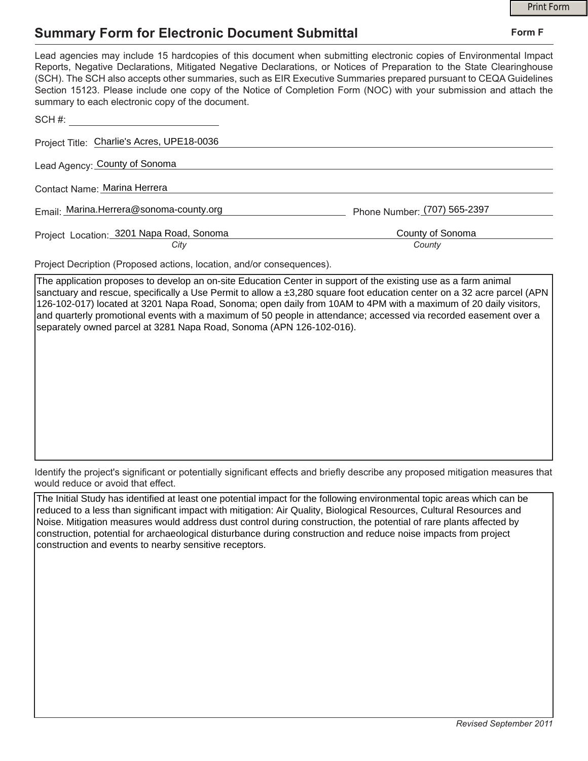## **Summary Form for Electronic Document Submittal**

|                                                                                                                                                                                                                                                                                                                                                                                                                                                                                                                                           | <b>Print Form</b>            |
|-------------------------------------------------------------------------------------------------------------------------------------------------------------------------------------------------------------------------------------------------------------------------------------------------------------------------------------------------------------------------------------------------------------------------------------------------------------------------------------------------------------------------------------------|------------------------------|
| <b>Summary Form for Electronic Document Submittal</b>                                                                                                                                                                                                                                                                                                                                                                                                                                                                                     | Form F                       |
| Lead agencies may include 15 hardcopies of this document when submitting electronic copies of Environmental Impact<br>Reports, Negative Declarations, Mitigated Negative Declarations, or Notices of Preparation to the State Clearinghouse<br>(SCH). The SCH also accepts other summaries, such as EIR Executive Summaries prepared pursuant to CEQA Guidelines<br>Section 15123. Please include one copy of the Notice of Completion Form (NOC) with your submission and attach the<br>summary to each electronic copy of the document. |                              |
| SCH#: All and the state of the state of the state of the state of the state of the state of the state of the state of the state of the state of the state of the state of the state of the state of the state of the state of                                                                                                                                                                                                                                                                                                             |                              |
| Project Title: Charlie's Acres, UPE18-0036                                                                                                                                                                                                                                                                                                                                                                                                                                                                                                |                              |
| Lead Agency: County of Sonoma                                                                                                                                                                                                                                                                                                                                                                                                                                                                                                             |                              |
| Contact Name: Marina Herrera                                                                                                                                                                                                                                                                                                                                                                                                                                                                                                              |                              |
| Email: Marina.Herrera@sonoma-county.org                                                                                                                                                                                                                                                                                                                                                                                                                                                                                                   | Phone Number: (707) 565-2397 |
| Project Location: 3201 Napa Road, Sonoma                                                                                                                                                                                                                                                                                                                                                                                                                                                                                                  | County of Sonoma             |
| City                                                                                                                                                                                                                                                                                                                                                                                                                                                                                                                                      | County                       |
| Droiget Decription (Draposed actions Jessien and/er canocauspace)                                                                                                                                                                                                                                                                                                                                                                                                                                                                         |                              |

Project Decription (Proposed actions, location, and/or consequences).

The application proposes to develop an on-site Education Center in support of the existing use as a farm animal sanctuary and rescue, specifically a Use Permit to allow a ±3,280 square foot education center on a 32 acre parcel (APN 126-102-017) located at 3201 Napa Road, Sonoma; open daily from 10AM to 4PM with a maximum of 20 daily visitors, and quarterly promotional events with a maximum of 50 people in attendance; accessed via recorded easement over a separately owned parcel at 3281 Napa Road, Sonoma (APN 126-102-016).

Identify the project's significant or potentially significant effects and briefly describe any proposed mitigation measures that would reduce or avoid that effect.

The Initial Study has identified at least one potential impact for the following environmental topic areas which can be reduced to a less than significant impact with mitigation: Air Quality, Biological Resources, Cultural Resources and Noise. Mitigation measures would address dust control during construction, the potential of rare plants affected by construction, potential for archaeological disturbance during construction and reduce noise impacts from project construction and events to nearby sensitive receptors.